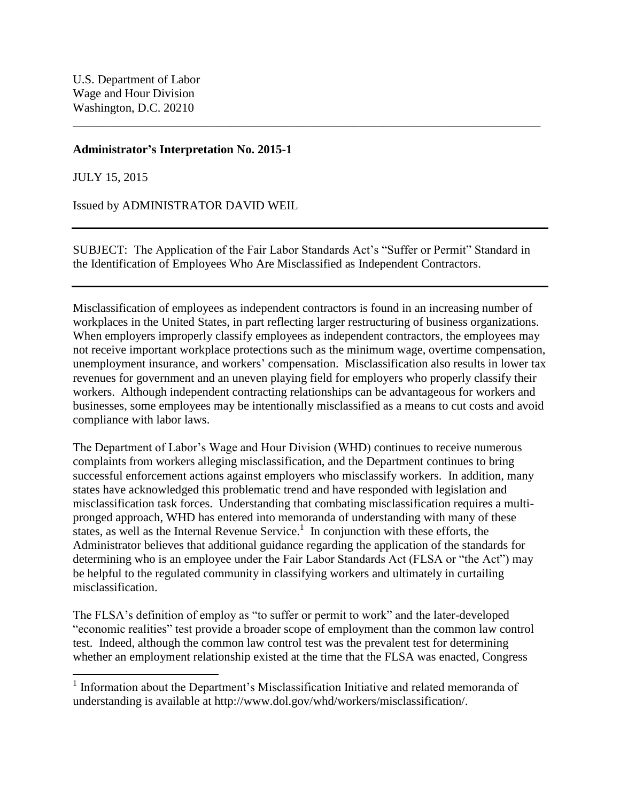# **Administrator's Interpretation No. 2015-1**

JULY 15, 2015

Issued by ADMINISTRATOR DAVID WEIL

SUBJECT: The Application of the Fair Labor Standards Act's "Suffer or Permit" Standard in the Identification of Employees Who Are Misclassified as Independent Contractors.

\_\_\_\_\_\_\_\_\_\_\_\_\_\_\_\_\_\_\_\_\_\_\_\_\_\_\_\_\_\_\_\_\_\_\_\_\_\_\_\_\_\_\_\_\_\_\_\_\_\_\_\_\_\_\_\_\_\_\_\_\_\_\_\_\_\_\_\_\_\_\_\_\_\_\_\_\_

Misclassification of employees as independent contractors is found in an increasing number of workplaces in the United States, in part reflecting larger restructuring of business organizations. When employers improperly classify employees as independent contractors, the employees may not receive important workplace protections such as the minimum wage, overtime compensation, unemployment insurance, and workers' compensation. Misclassification also results in lower tax revenues for government and an uneven playing field for employers who properly classify their workers. Although independent contracting relationships can be advantageous for workers and businesses, some employees may be intentionally misclassified as a means to cut costs and avoid compliance with labor laws.

The Department of Labor's Wage and Hour Division (WHD) continues to receive numerous complaints from workers alleging misclassification, and the Department continues to bring successful enforcement actions against employers who misclassify workers. In addition, many states have acknowledged this problematic trend and have responded with legislation and misclassification task forces. Understanding that combating misclassification requires a multipronged approach, WHD has entered into memoranda of understanding with many of these states, as well as the Internal Revenue Service.<sup>1</sup> In conjunction with these efforts, the Administrator believes that additional guidance regarding the application of the standards for determining who is an employee under the Fair Labor Standards Act (FLSA or "the Act") may be helpful to the regulated community in classifying workers and ultimately in curtailing misclassification.

The FLSA's definition of employ as "to suffer or permit to work" and the later-developed "economic realities" test provide a broader scope of employment than the common law control test. Indeed, although the common law control test was the prevalent test for determining whether an employment relationship existed at the time that the FLSA was enacted, Congress

<sup>&</sup>lt;sup>1</sup> Information about the Department's Misclassification Initiative and related memoranda of understanding is available at http://www.dol.gov/whd/workers/misclassification/.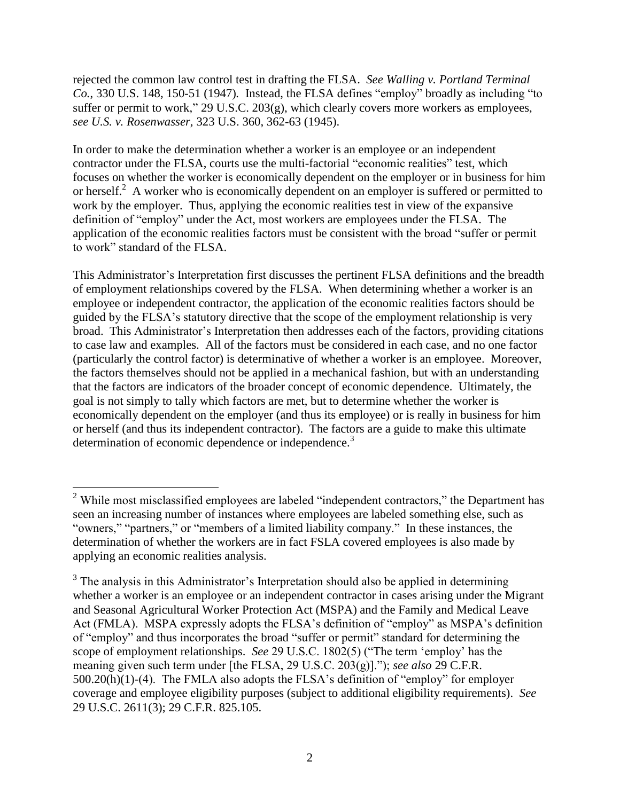rejected the common law control test in drafting the FLSA. *See Walling v. Portland Terminal Co.*, 330 U.S. 148, 150-51 (1947)*.* Instead, the FLSA defines "employ" broadly as including "to suffer or permit to work," 29 U.S.C. 203(g), which clearly covers more workers as employees, *see U.S. v. Rosenwasser*, 323 U.S. 360, 362-63 (1945).

In order to make the determination whether a worker is an employee or an independent contractor under the FLSA, courts use the multi-factorial "economic realities" test, which focuses on whether the worker is economically dependent on the employer or in business for him or herself.<sup>2</sup> A worker who is economically dependent on an employer is suffered or permitted to work by the employer. Thus, applying the economic realities test in view of the expansive definition of "employ" under the Act, most workers are employees under the FLSA. The application of the economic realities factors must be consistent with the broad "suffer or permit to work" standard of the FLSA.

This Administrator's Interpretation first discusses the pertinent FLSA definitions and the breadth of employment relationships covered by the FLSA. When determining whether a worker is an employee or independent contractor, the application of the economic realities factors should be guided by the FLSA's statutory directive that the scope of the employment relationship is very broad. This Administrator's Interpretation then addresses each of the factors, providing citations to case law and examples. All of the factors must be considered in each case, and no one factor (particularly the control factor) is determinative of whether a worker is an employee. Moreover, the factors themselves should not be applied in a mechanical fashion, but with an understanding that the factors are indicators of the broader concept of economic dependence. Ultimately, the goal is not simply to tally which factors are met, but to determine whether the worker is economically dependent on the employer (and thus its employee) or is really in business for him or herself (and thus its independent contractor). The factors are a guide to make this ultimate determination of economic dependence or independence.<sup>3</sup>

 $\overline{a}$ 

 $2^2$  While most misclassified employees are labeled "independent contractors," the Department has seen an increasing number of instances where employees are labeled something else, such as "owners," "partners," or "members of a limited liability company." In these instances, the determination of whether the workers are in fact FSLA covered employees is also made by applying an economic realities analysis.

 $3$  The analysis in this Administrator's Interpretation should also be applied in determining whether a worker is an employee or an independent contractor in cases arising under the Migrant and Seasonal Agricultural Worker Protection Act (MSPA) and the Family and Medical Leave Act (FMLA). MSPA expressly adopts the FLSA's definition of "employ" as MSPA's definition of "employ" and thus incorporates the broad "suffer or permit" standard for determining the scope of employment relationships. *See* 29 U.S.C. 1802(5) ("The term 'employ' has the meaning given such term under [the FLSA, 29 U.S.C. 203(g)]."); *see also* 29 C.F.R. 500.20(h)(1)-(4). The FMLA also adopts the FLSA's definition of "employ" for employer coverage and employee eligibility purposes (subject to additional eligibility requirements). *See* 29 U.S.C. 2611(3); 29 C.F.R. 825.105.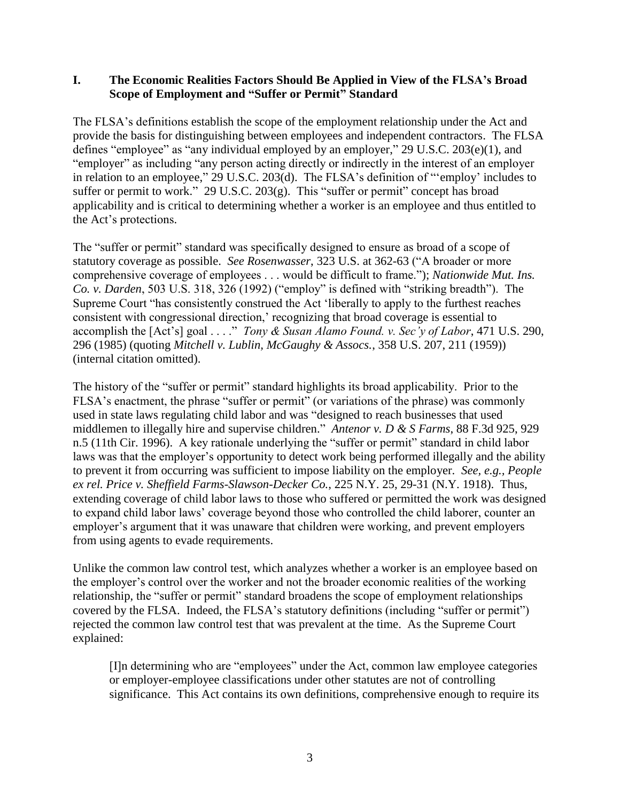# **I. The Economic Realities Factors Should Be Applied in View of the FLSA's Broad Scope of Employment and "Suffer or Permit" Standard**

The FLSA's definitions establish the scope of the employment relationship under the Act and provide the basis for distinguishing between employees and independent contractors. The FLSA defines "employee" as "any individual employed by an employer," 29 U.S.C. 203(e)(1), and "employer" as including "any person acting directly or indirectly in the interest of an employer in relation to an employee," 29 U.S.C. 203(d). The FLSA's definition of "'employ' includes to suffer or permit to work." 29 U.S.C. 203(g). This "suffer or permit" concept has broad applicability and is critical to determining whether a worker is an employee and thus entitled to the Act's protections.

The "suffer or permit" standard was specifically designed to ensure as broad of a scope of statutory coverage as possible. *See Rosenwasser*, 323 U.S. at 362-63 ("A broader or more comprehensive coverage of employees . . . would be difficult to frame."); *Nationwide Mut. Ins. Co. v. Darden*, 503 U.S. 318, 326 (1992) ("employ" is defined with "striking breadth"). The Supreme Court "has consistently construed the Act 'liberally to apply to the furthest reaches consistent with congressional direction,' recognizing that broad coverage is essential to accomplish the [Act's] goal . . . ." *Tony & Susan Alamo Found. v. Sec'y of Labor*, 471 U.S. 290, 296 (1985) (quoting *Mitchell v. Lublin, McGaughy & Assocs.*, 358 U.S. 207, 211 (1959)) (internal citation omitted).

The history of the "suffer or permit" standard highlights its broad applicability. Prior to the FLSA's enactment, the phrase "suffer or permit" (or variations of the phrase) was commonly used in state laws regulating child labor and was "designed to reach businesses that used middlemen to illegally hire and supervise children." *Antenor v. D & S Farms*, 88 F.3d 925, 929 n.5 (11th Cir. 1996). A key rationale underlying the "suffer or permit" standard in child labor laws was that the employer's opportunity to detect work being performed illegally and the ability to prevent it from occurring was sufficient to impose liability on the employer. *See, e.g., People ex rel. Price v. Sheffield Farms-Slawson-Decker Co.*, 225 N.Y. 25, 29-31 (N.Y. 1918). Thus, extending coverage of child labor laws to those who suffered or permitted the work was designed to expand child labor laws' coverage beyond those who controlled the child laborer, counter an employer's argument that it was unaware that children were working, and prevent employers from using agents to evade requirements.

Unlike the common law control test, which analyzes whether a worker is an employee based on the employer's control over the worker and not the broader economic realities of the working relationship, the "suffer or permit" standard broadens the scope of employment relationships covered by the FLSA. Indeed, the FLSA's statutory definitions (including "suffer or permit") rejected the common law control test that was prevalent at the time. As the Supreme Court explained:

[I]n determining who are "employees" under the Act, common law employee categories or employer-employee classifications under other statutes are not of controlling significance. This Act contains its own definitions, comprehensive enough to require its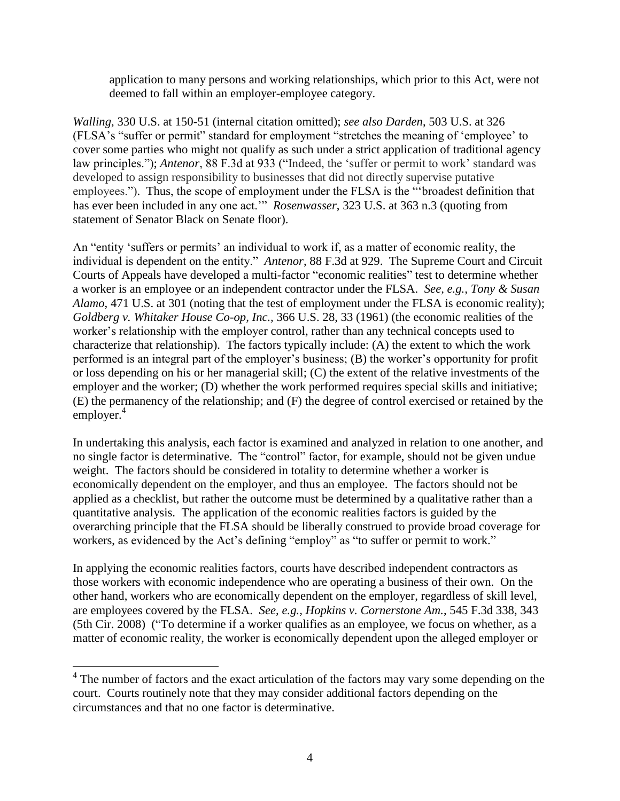application to many persons and working relationships, which prior to this Act, were not deemed to fall within an employer-employee category.

*Walling*, 330 U.S. at 150-51 (internal citation omitted); *see also Darden*, 503 U.S. at 326 (FLSA's "suffer or permit" standard for employment "stretches the meaning of 'employee' to cover some parties who might not qualify as such under a strict application of traditional agency law principles."); *Antenor*, 88 F.3d at 933 ("Indeed, the 'suffer or permit to work' standard was developed to assign responsibility to businesses that did not directly supervise putative employees."). Thus, the scope of employment under the FLSA is the "'broadest definition that has ever been included in any one act.'" *Rosenwasser*, 323 U.S. at 363 n.3 (quoting from statement of Senator Black on Senate floor).

An "entity 'suffers or permits' an individual to work if, as a matter of economic reality, the individual is dependent on the entity." *Antenor*, 88 F.3d at 929. The Supreme Court and Circuit Courts of Appeals have developed a multi-factor "economic realities" test to determine whether a worker is an employee or an independent contractor under the FLSA. *See, e.g., Tony & Susan Alamo*, 471 U.S. at 301 (noting that the test of employment under the FLSA is economic reality); *Goldberg v. Whitaker House Co-op, Inc.,* 366 U.S. 28, 33 (1961) (the economic realities of the worker's relationship with the employer control, rather than any technical concepts used to characterize that relationship). The factors typically include: (A) the extent to which the work performed is an integral part of the employer's business; (B) the worker's opportunity for profit or loss depending on his or her managerial skill; (C) the extent of the relative investments of the employer and the worker; (D) whether the work performed requires special skills and initiative; (E) the permanency of the relationship; and (F) the degree of control exercised or retained by the employer. 4

In undertaking this analysis, each factor is examined and analyzed in relation to one another, and no single factor is determinative. The "control" factor, for example, should not be given undue weight. The factors should be considered in totality to determine whether a worker is economically dependent on the employer, and thus an employee. The factors should not be applied as a checklist, but rather the outcome must be determined by a qualitative rather than a quantitative analysis. The application of the economic realities factors is guided by the overarching principle that the FLSA should be liberally construed to provide broad coverage for workers, as evidenced by the Act's defining "employ" as "to suffer or permit to work."

In applying the economic realities factors, courts have described independent contractors as those workers with economic independence who are operating a business of their own. On the other hand, workers who are economically dependent on the employer, regardless of skill level, are employees covered by the FLSA. *See, e.g., Hopkins v. Cornerstone Am.*, 545 F.3d 338, 343 (5th Cir. 2008) ("To determine if a worker qualifies as an employee, we focus on whether, as a matter of economic reality, the worker is economically dependent upon the alleged employer or

 $\overline{a}$ 

<sup>&</sup>lt;sup>4</sup> The number of factors and the exact articulation of the factors may vary some depending on the court. Courts routinely note that they may consider additional factors depending on the circumstances and that no one factor is determinative.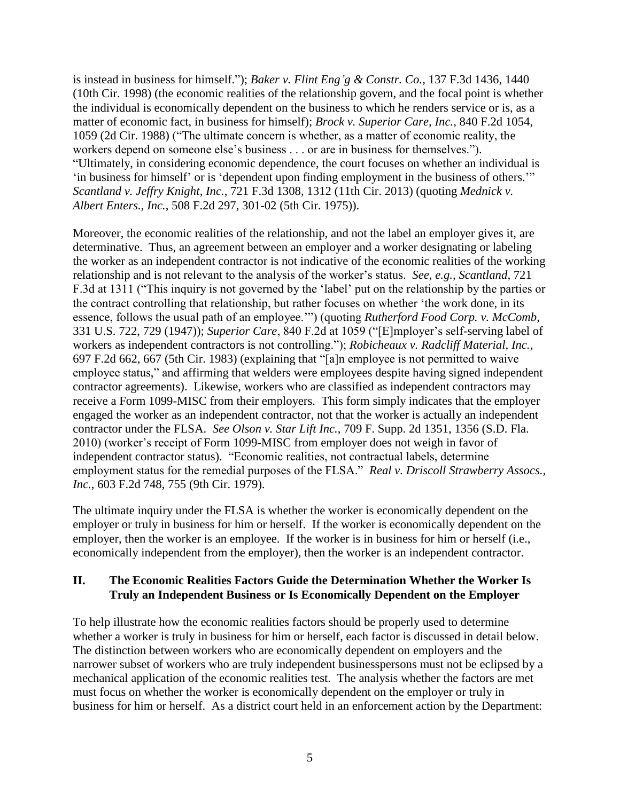is instead in business for himself."); *Baker v. Flint Eng'g & Constr. Co.*, 137 F.3d 1436, 1440 (10th Cir. 1998) (the economic realities of the relationship govern, and the focal point is whether the individual is economically dependent on the business to which he renders service or is, as a matter of economic fact, in business for himself); *Brock v. Superior Care, Inc.*, 840 F.2d 1054, 1059 (2d Cir. 1988) ("The ultimate concern is whether, as a matter of economic reality, the workers depend on someone else's business . . . or are in business for themselves."). "Ultimately, in considering economic dependence, the court focuses on whether an individual is 'in business for himself' or is 'dependent upon finding employment in the business of others.'" *Scantland v. Jeffry Knight, Inc.*, 721 F.3d 1308, 1312 (11th Cir. 2013) (quoting *Mednick v. Albert Enters., Inc.*, 508 F.2d 297, 301-02 (5th Cir. 1975)).

Moreover, the economic realities of the relationship, and not the label an employer gives it, are determinative. Thus, an agreement between an employer and a worker designating or labeling the worker as an independent contractor is not indicative of the economic realities of the working relationship and is not relevant to the analysis of the worker's status. *See, e.g., Scantland*, 721 F.3d at 1311 ("This inquiry is not governed by the 'label' put on the relationship by the parties or the contract controlling that relationship, but rather focuses on whether 'the work done, in its essence, follows the usual path of an employee.'") (quoting *Rutherford Food Corp. v. McComb*, 331 U.S. 722, 729 (1947)); *Superior Care*, 840 F.2d at 1059 ("[E]mployer's self-serving label of workers as independent contractors is not controlling."); *Robicheaux v. Radcliff Material, Inc.*, 697 F.2d 662, 667 (5th Cir. 1983) (explaining that "[a]n employee is not permitted to waive employee status," and affirming that welders were employees despite having signed independent contractor agreements). Likewise, workers who are classified as independent contractors may receive a Form 1099-MISC from their employers. This form simply indicates that the employer engaged the worker as an independent contractor, not that the worker is actually an independent contractor under the FLSA. *See Olson v. Star Lift Inc.*, 709 F. Supp. 2d 1351, 1356 (S.D. Fla. 2010) (worker's receipt of Form 1099-MISC from employer does not weigh in favor of independent contractor status). "Economic realities, not contractual labels, determine employment status for the remedial purposes of the FLSA." *Real v. Driscoll Strawberry Assocs., Inc.*, 603 F.2d 748, 755 (9th Cir. 1979).

The ultimate inquiry under the FLSA is whether the worker is economically dependent on the employer or truly in business for him or herself. If the worker is economically dependent on the employer, then the worker is an employee. If the worker is in business for him or herself (i.e., economically independent from the employer), then the worker is an independent contractor.

# **II. The Economic Realities Factors Guide the Determination Whether the Worker Is Truly an Independent Business or Is Economically Dependent on the Employer**

To help illustrate how the economic realities factors should be properly used to determine whether a worker is truly in business for him or herself, each factor is discussed in detail below. The distinction between workers who are economically dependent on employers and the narrower subset of workers who are truly independent businesspersons must not be eclipsed by a mechanical application of the economic realities test. The analysis whether the factors are met must focus on whether the worker is economically dependent on the employer or truly in business for him or herself. As a district court held in an enforcement action by the Department: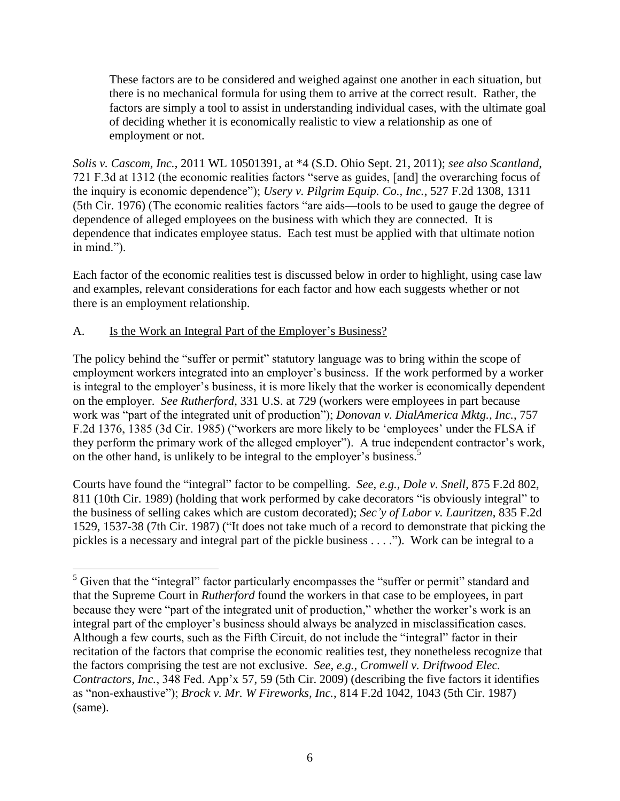These factors are to be considered and weighed against one another in each situation, but there is no mechanical formula for using them to arrive at the correct result. Rather, the factors are simply a tool to assist in understanding individual cases, with the ultimate goal of deciding whether it is economically realistic to view a relationship as one of employment or not.

*Solis v. Cascom, Inc.*, 2011 WL 10501391, at \*4 (S.D. Ohio Sept. 21, 2011); *see also Scantland*, 721 F.3d at 1312 (the economic realities factors "serve as guides, [and] the overarching focus of the inquiry is economic dependence"); *Usery v. Pilgrim Equip. Co., Inc.*, 527 F.2d 1308, 1311 (5th Cir. 1976) (The economic realities factors "are aids—tools to be used to gauge the degree of dependence of alleged employees on the business with which they are connected. It is dependence that indicates employee status. Each test must be applied with that ultimate notion in mind.").

Each factor of the economic realities test is discussed below in order to highlight, using case law and examples, relevant considerations for each factor and how each suggests whether or not there is an employment relationship.

# A. Is the Work an Integral Part of the Employer's Business?

The policy behind the "suffer or permit" statutory language was to bring within the scope of employment workers integrated into an employer's business. If the work performed by a worker is integral to the employer's business, it is more likely that the worker is economically dependent on the employer. *See Rutherford*, 331 U.S. at 729 (workers were employees in part because work was "part of the integrated unit of production"); *Donovan v. DialAmerica Mktg., Inc.*, 757 F.2d 1376, 1385 (3d Cir. 1985) ("workers are more likely to be 'employees' under the FLSA if they perform the primary work of the alleged employer"). A true independent contractor's work, on the other hand, is unlikely to be integral to the employer's business.<sup>5</sup>

Courts have found the "integral" factor to be compelling. *See, e.g., Dole v. Snell*, 875 F.2d 802, 811 (10th Cir. 1989) (holding that work performed by cake decorators "is obviously integral" to the business of selling cakes which are custom decorated); *Sec'y of Labor v. Lauritzen*, 835 F.2d 1529, 1537-38 (7th Cir. 1987) ("It does not take much of a record to demonstrate that picking the pickles is a necessary and integral part of the pickle business . . . ."). Work can be integral to a

 $\overline{a}$  $<sup>5</sup>$  Given that the "integral" factor particularly encompasses the "suffer or permit" standard and</sup> that the Supreme Court in *Rutherford* found the workers in that case to be employees, in part because they were "part of the integrated unit of production," whether the worker's work is an integral part of the employer's business should always be analyzed in misclassification cases. Although a few courts, such as the Fifth Circuit, do not include the "integral" factor in their recitation of the factors that comprise the economic realities test, they nonetheless recognize that the factors comprising the test are not exclusive. *See, e.g., Cromwell v. Driftwood Elec. Contractors, Inc.*, 348 Fed. App'x 57, 59 (5th Cir. 2009) (describing the five factors it identifies as "non-exhaustive"); *Brock v. Mr. W Fireworks, Inc.*, 814 F.2d 1042, 1043 (5th Cir. 1987) (same).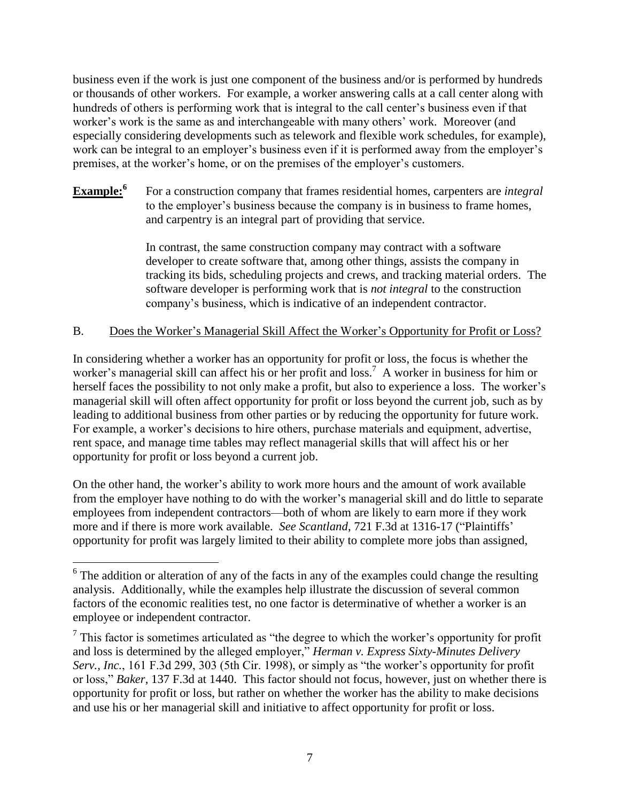business even if the work is just one component of the business and/or is performed by hundreds or thousands of other workers. For example, a worker answering calls at a call center along with hundreds of others is performing work that is integral to the call center's business even if that worker's work is the same as and interchangeable with many others' work. Moreover (and especially considering developments such as telework and flexible work schedules, for example), work can be integral to an employer's business even if it is performed away from the employer's premises, at the worker's home, or on the premises of the employer's customers.

#### **Example:<sup>6</sup>** For a construction company that frames residential homes, carpenters are *integral* to the employer's business because the company is in business to frame homes, and carpentry is an integral part of providing that service.

In contrast, the same construction company may contract with a software developer to create software that, among other things, assists the company in tracking its bids, scheduling projects and crews, and tracking material orders. The software developer is performing work that is *not integral* to the construction company's business, which is indicative of an independent contractor.

# B. Does the Worker's Managerial Skill Affect the Worker's Opportunity for Profit or Loss?

In considering whether a worker has an opportunity for profit or loss, the focus is whether the worker's managerial skill can affect his or her profit and loss.<sup>7</sup> A worker in business for him or herself faces the possibility to not only make a profit, but also to experience a loss. The worker's managerial skill will often affect opportunity for profit or loss beyond the current job, such as by leading to additional business from other parties or by reducing the opportunity for future work. For example, a worker's decisions to hire others, purchase materials and equipment, advertise, rent space, and manage time tables may reflect managerial skills that will affect his or her opportunity for profit or loss beyond a current job.

On the other hand, the worker's ability to work more hours and the amount of work available from the employer have nothing to do with the worker's managerial skill and do little to separate employees from independent contractors—both of whom are likely to earn more if they work more and if there is more work available. *See Scantland*, 721 F.3d at 1316-17 ("Plaintiffs' opportunity for profit was largely limited to their ability to complete more jobs than assigned,

 $\overline{a}$  $6$  The addition or alteration of any of the facts in any of the examples could change the resulting analysis. Additionally, while the examples help illustrate the discussion of several common factors of the economic realities test, no one factor is determinative of whether a worker is an employee or independent contractor.

 $7$  This factor is sometimes articulated as "the degree to which the worker's opportunity for profit and loss is determined by the alleged employer," *Herman v. Express Sixty-Minutes Delivery Serv., Inc.*, 161 F.3d 299, 303 (5th Cir. 1998), or simply as "the worker's opportunity for profit or loss," *Baker*, 137 F.3d at 1440. This factor should not focus, however, just on whether there is opportunity for profit or loss, but rather on whether the worker has the ability to make decisions and use his or her managerial skill and initiative to affect opportunity for profit or loss.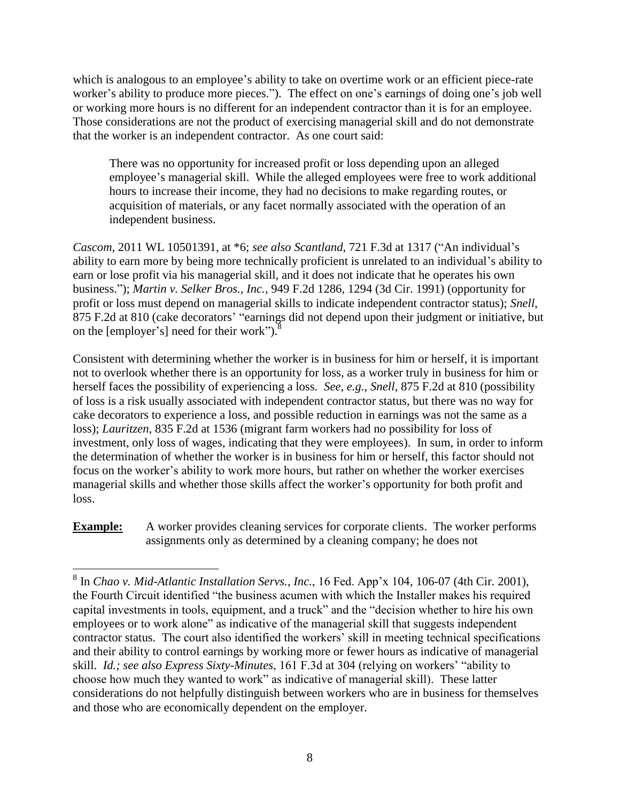which is analogous to an employee's ability to take on overtime work or an efficient piece-rate worker's ability to produce more pieces."). The effect on one's earnings of doing one's job well or working more hours is no different for an independent contractor than it is for an employee. Those considerations are not the product of exercising managerial skill and do not demonstrate that the worker is an independent contractor. As one court said:

There was no opportunity for increased profit or loss depending upon an alleged employee's managerial skill. While the alleged employees were free to work additional hours to increase their income, they had no decisions to make regarding routes, or acquisition of materials, or any facet normally associated with the operation of an independent business.

*Cascom*, 2011 WL 10501391, at \*6; *see also Scantland*, 721 F.3d at 1317 ("An individual's ability to earn more by being more technically proficient is unrelated to an individual's ability to earn or lose profit via his managerial skill, and it does not indicate that he operates his own business."); *Martin v. Selker Bros., Inc.*, 949 F.2d 1286, 1294 (3d Cir. 1991) (opportunity for profit or loss must depend on managerial skills to indicate independent contractor status); *Snell*, 875 F.2d at 810 (cake decorators' "earnings did not depend upon their judgment or initiative, but on the [employer's] need for their work"). $\frac{8}{3}$ 

Consistent with determining whether the worker is in business for him or herself, it is important not to overlook whether there is an opportunity for loss, as a worker truly in business for him or herself faces the possibility of experiencing a loss. *See, e.g., Snell*, 875 F.2d at 810 (possibility of loss is a risk usually associated with independent contractor status, but there was no way for cake decorators to experience a loss, and possible reduction in earnings was not the same as a loss); *Lauritzen*, 835 F.2d at 1536 (migrant farm workers had no possibility for loss of investment, only loss of wages, indicating that they were employees). In sum, in order to inform the determination of whether the worker is in business for him or herself, this factor should not focus on the worker's ability to work more hours, but rather on whether the worker exercises managerial skills and whether those skills affect the worker's opportunity for both profit and loss.

**Example:** A worker provides cleaning services for corporate clients. The worker performs assignments only as determined by a cleaning company; he does not

 8 In *Chao v. Mid-Atlantic Installation Servs., Inc.*, 16 Fed. App'x 104, 106-07 (4th Cir. 2001), the Fourth Circuit identified "the business acumen with which the Installer makes his required capital investments in tools, equipment, and a truck" and the "decision whether to hire his own employees or to work alone" as indicative of the managerial skill that suggests independent contractor status. The court also identified the workers' skill in meeting technical specifications and their ability to control earnings by working more or fewer hours as indicative of managerial skill. *Id.; see also Express Sixty-Minutes*, 161 F.3d at 304 (relying on workers' "ability to choose how much they wanted to work" as indicative of managerial skill). These latter considerations do not helpfully distinguish between workers who are in business for themselves and those who are economically dependent on the employer.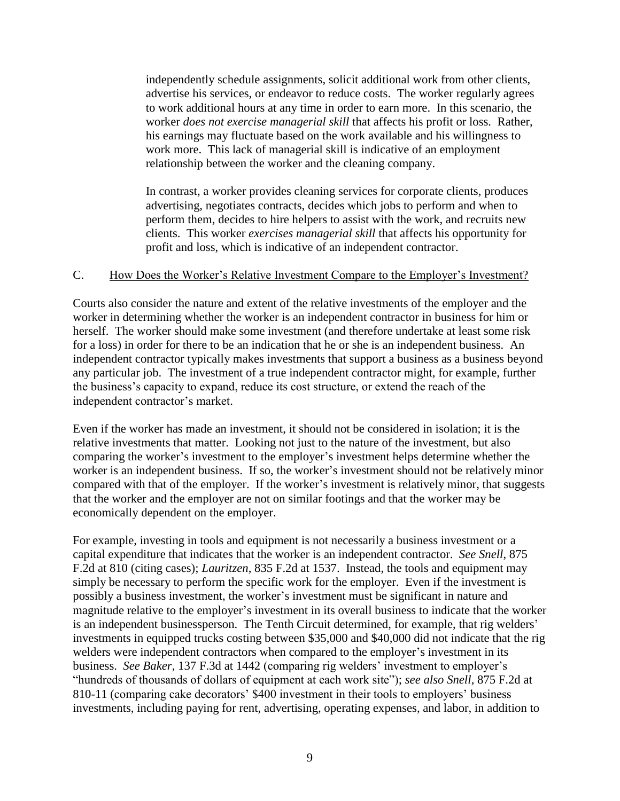independently schedule assignments, solicit additional work from other clients, advertise his services, or endeavor to reduce costs. The worker regularly agrees to work additional hours at any time in order to earn more. In this scenario, the worker *does not exercise managerial skill* that affects his profit or loss. Rather, his earnings may fluctuate based on the work available and his willingness to work more. This lack of managerial skill is indicative of an employment relationship between the worker and the cleaning company.

In contrast, a worker provides cleaning services for corporate clients, produces advertising, negotiates contracts, decides which jobs to perform and when to perform them, decides to hire helpers to assist with the work, and recruits new clients. This worker *exercises managerial skill* that affects his opportunity for profit and loss, which is indicative of an independent contractor.

### C. How Does the Worker's Relative Investment Compare to the Employer's Investment?

Courts also consider the nature and extent of the relative investments of the employer and the worker in determining whether the worker is an independent contractor in business for him or herself. The worker should make some investment (and therefore undertake at least some risk for a loss) in order for there to be an indication that he or she is an independent business. An independent contractor typically makes investments that support a business as a business beyond any particular job. The investment of a true independent contractor might, for example, further the business's capacity to expand, reduce its cost structure, or extend the reach of the independent contractor's market.

Even if the worker has made an investment, it should not be considered in isolation; it is the relative investments that matter. Looking not just to the nature of the investment, but also comparing the worker's investment to the employer's investment helps determine whether the worker is an independent business. If so, the worker's investment should not be relatively minor compared with that of the employer. If the worker's investment is relatively minor, that suggests that the worker and the employer are not on similar footings and that the worker may be economically dependent on the employer.

For example, investing in tools and equipment is not necessarily a business investment or a capital expenditure that indicates that the worker is an independent contractor. *See Snell*, 875 F.2d at 810 (citing cases); *Lauritzen*, 835 F.2d at 1537. Instead, the tools and equipment may simply be necessary to perform the specific work for the employer. Even if the investment is possibly a business investment, the worker's investment must be significant in nature and magnitude relative to the employer's investment in its overall business to indicate that the worker is an independent businessperson. The Tenth Circuit determined, for example, that rig welders' investments in equipped trucks costing between \$35,000 and \$40,000 did not indicate that the rig welders were independent contractors when compared to the employer's investment in its business. *See Baker*, 137 F.3d at 1442 (comparing rig welders' investment to employer's "hundreds of thousands of dollars of equipment at each work site"); *see also Snell*, 875 F.2d at 810-11 (comparing cake decorators' \$400 investment in their tools to employers' business investments, including paying for rent, advertising, operating expenses, and labor, in addition to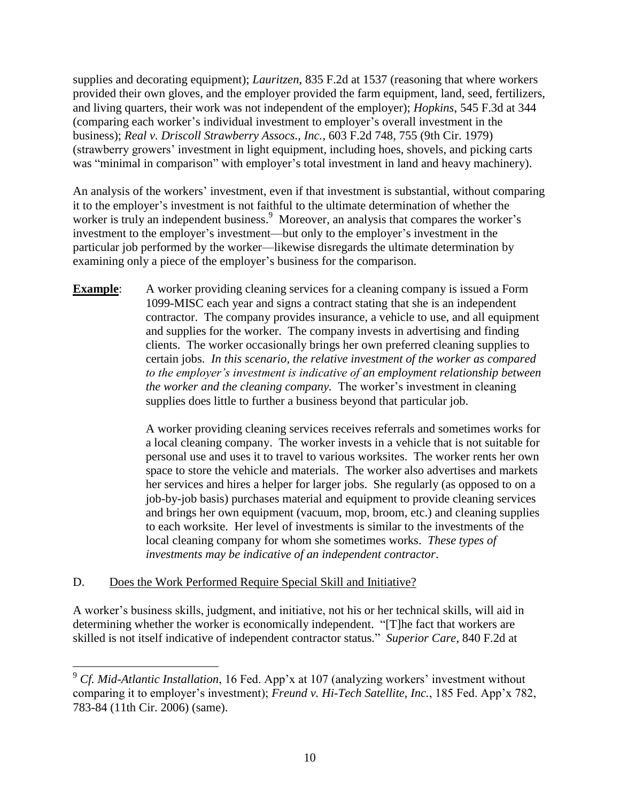supplies and decorating equipment); *Lauritzen*, 835 F.2d at 1537 (reasoning that where workers provided their own gloves, and the employer provided the farm equipment, land, seed, fertilizers, and living quarters, their work was not independent of the employer); *Hopkins*, 545 F.3d at 344 (comparing each worker's individual investment to employer's overall investment in the business); *Real v. Driscoll Strawberry Assocs., Inc.*, 603 F.2d 748, 755 (9th Cir. 1979) (strawberry growers' investment in light equipment, including hoes, shovels, and picking carts was "minimal in comparison" with employer's total investment in land and heavy machinery).

An analysis of the workers' investment, even if that investment is substantial, without comparing it to the employer's investment is not faithful to the ultimate determination of whether the worker is truly an independent business.<sup>9</sup> Moreover, an analysis that compares the worker's investment to the employer's investment—but only to the employer's investment in the particular job performed by the worker—likewise disregards the ultimate determination by examining only a piece of the employer's business for the comparison.

**Example:** A worker providing cleaning services for a cleaning company is issued a Form 1099-MISC each year and signs a contract stating that she is an independent contractor. The company provides insurance, a vehicle to use, and all equipment and supplies for the worker. The company invests in advertising and finding clients. The worker occasionally brings her own preferred cleaning supplies to certain jobs. *In this scenario, the relative investment of the worker as compared to the employer's investment is indicative of an employment relationship between the worker and the cleaning company.* The worker's investment in cleaning supplies does little to further a business beyond that particular job.

> A worker providing cleaning services receives referrals and sometimes works for a local cleaning company. The worker invests in a vehicle that is not suitable for personal use and uses it to travel to various worksites. The worker rents her own space to store the vehicle and materials. The worker also advertises and markets her services and hires a helper for larger jobs. She regularly (as opposed to on a job-by-job basis) purchases material and equipment to provide cleaning services and brings her own equipment (vacuum, mop, broom, etc.) and cleaning supplies to each worksite. Her level of investments is similar to the investments of the local cleaning company for whom she sometimes works. *These types of investments may be indicative of an independent contractor*.

# D. Does the Work Performed Require Special Skill and Initiative?

A worker's business skills, judgment, and initiative, not his or her technical skills, will aid in determining whether the worker is economically independent. "[T]he fact that workers are skilled is not itself indicative of independent contractor status." *Superior Care*, 840 F.2d at

 $\overline{a}$ <sup>9</sup> *Cf. Mid-Atlantic Installation*, 16 Fed. App'x at 107 (analyzing workers' investment without comparing it to employer's investment); *Freund v. Hi-Tech Satellite, Inc.*, 185 Fed. App'x 782, 783-84 (11th Cir. 2006) (same).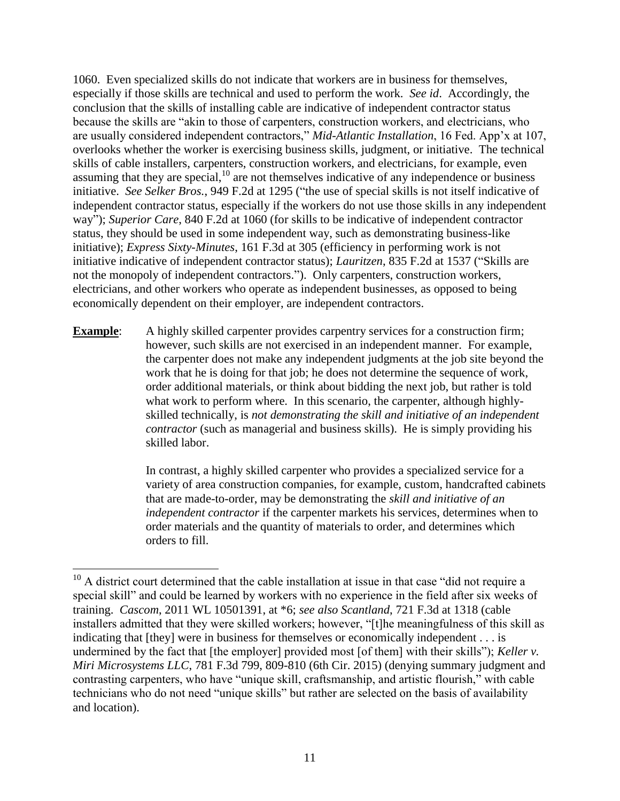1060. Even specialized skills do not indicate that workers are in business for themselves, especially if those skills are technical and used to perform the work. *See id*. Accordingly, the conclusion that the skills of installing cable are indicative of independent contractor status because the skills are "akin to those of carpenters, construction workers, and electricians, who are usually considered independent contractors," *Mid-Atlantic Installation*, 16 Fed. App'x at 107, overlooks whether the worker is exercising business skills, judgment, or initiative. The technical skills of cable installers, carpenters, construction workers, and electricians, for example, even assuming that they are special, $10$  are not themselves indicative of any independence or business initiative. *See Selker Bros.*, 949 F.2d at 1295 ("the use of special skills is not itself indicative of independent contractor status, especially if the workers do not use those skills in any independent way"); *Superior Care*, 840 F.2d at 1060 (for skills to be indicative of independent contractor status, they should be used in some independent way, such as demonstrating business-like initiative); *Express Sixty-Minutes*, 161 F.3d at 305 (efficiency in performing work is not initiative indicative of independent contractor status); *Lauritzen*, 835 F.2d at 1537 ("Skills are not the monopoly of independent contractors."). Only carpenters, construction workers, electricians, and other workers who operate as independent businesses, as opposed to being economically dependent on their employer, are independent contractors.

**Example:** A highly skilled carpenter provides carpentry services for a construction firm; however, such skills are not exercised in an independent manner. For example, the carpenter does not make any independent judgments at the job site beyond the work that he is doing for that job; he does not determine the sequence of work, order additional materials, or think about bidding the next job, but rather is told what work to perform where. In this scenario, the carpenter, although highlyskilled technically, is *not demonstrating the skill and initiative of an independent contractor* (such as managerial and business skills). He is simply providing his skilled labor.

> In contrast, a highly skilled carpenter who provides a specialized service for a variety of area construction companies, for example, custom, handcrafted cabinets that are made-to-order, may be demonstrating the *skill and initiative of an independent contractor* if the carpenter markets his services, determines when to order materials and the quantity of materials to order, and determines which orders to fill.

 $\overline{a}$  $10$  A district court determined that the cable installation at issue in that case "did not require a special skill" and could be learned by workers with no experience in the field after six weeks of training. *Cascom*, 2011 WL 10501391, at \*6; *see also Scantland*, 721 F.3d at 1318 (cable installers admitted that they were skilled workers; however, "[t]he meaningfulness of this skill as indicating that [they] were in business for themselves or economically independent . . . is undermined by the fact that [the employer] provided most [of them] with their skills"); *Keller v. Miri Microsystems LLC*, 781 F.3d 799, 809-810 (6th Cir. 2015) (denying summary judgment and contrasting carpenters, who have "unique skill, craftsmanship, and artistic flourish," with cable technicians who do not need "unique skills" but rather are selected on the basis of availability and location).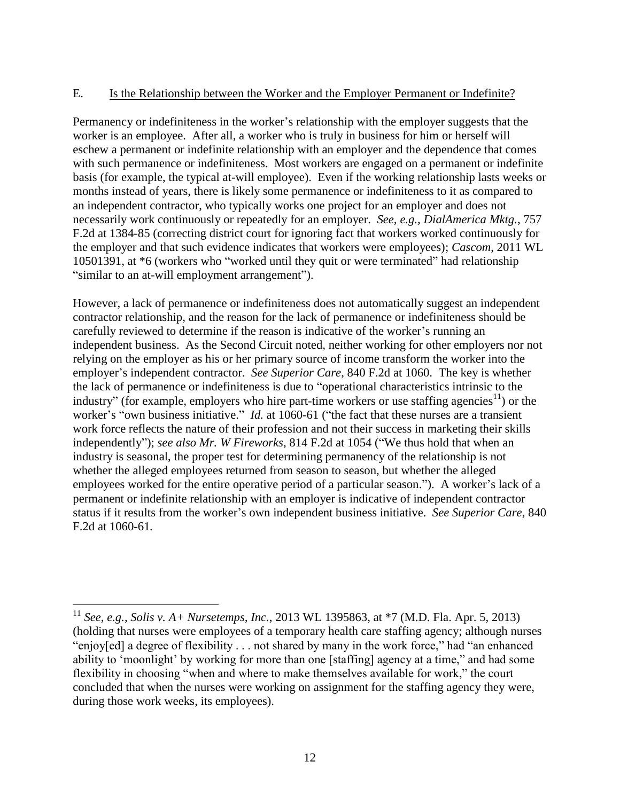### E. Is the Relationship between the Worker and the Employer Permanent or Indefinite?

Permanency or indefiniteness in the worker's relationship with the employer suggests that the worker is an employee. After all, a worker who is truly in business for him or herself will eschew a permanent or indefinite relationship with an employer and the dependence that comes with such permanence or indefiniteness. Most workers are engaged on a permanent or indefinite basis (for example, the typical at-will employee). Even if the working relationship lasts weeks or months instead of years, there is likely some permanence or indefiniteness to it as compared to an independent contractor, who typically works one project for an employer and does not necessarily work continuously or repeatedly for an employer. *See, e.g., DialAmerica Mktg.*, 757 F.2d at 1384-85 (correcting district court for ignoring fact that workers worked continuously for the employer and that such evidence indicates that workers were employees); *Cascom*, 2011 WL 10501391, at \*6 (workers who "worked until they quit or were terminated" had relationship "similar to an at-will employment arrangement").

However, a lack of permanence or indefiniteness does not automatically suggest an independent contractor relationship, and the reason for the lack of permanence or indefiniteness should be carefully reviewed to determine if the reason is indicative of the worker's running an independent business. As the Second Circuit noted, neither working for other employers nor not relying on the employer as his or her primary source of income transform the worker into the employer's independent contractor. *See Superior Care*, 840 F.2d at 1060. The key is whether the lack of permanence or indefiniteness is due to "operational characteristics intrinsic to the industry" (for example, employers who hire part-time workers or use staffing agencies<sup>11</sup>) or the worker's "own business initiative." *Id.* at 1060-61 ("the fact that these nurses are a transient work force reflects the nature of their profession and not their success in marketing their skills independently"); *see also Mr. W Fireworks*, 814 F.2d at 1054 ("We thus hold that when an industry is seasonal, the proper test for determining permanency of the relationship is not whether the alleged employees returned from season to season, but whether the alleged employees worked for the entire operative period of a particular season."). A worker's lack of a permanent or indefinite relationship with an employer is indicative of independent contractor status if it results from the worker's own independent business initiative. *See Superior Care*, 840 F.2d at 1060-61*.*

 $\overline{a}$ 

<sup>11</sup> *See, e.g., Solis v. A+ Nursetemps, Inc.*, 2013 WL 1395863, at \*7 (M.D. Fla. Apr. 5, 2013) (holding that nurses were employees of a temporary health care staffing agency; although nurses "enjoy[ed] a degree of flexibility . . . not shared by many in the work force," had "an enhanced ability to 'moonlight' by working for more than one [staffing] agency at a time," and had some flexibility in choosing "when and where to make themselves available for work," the court concluded that when the nurses were working on assignment for the staffing agency they were, during those work weeks, its employees).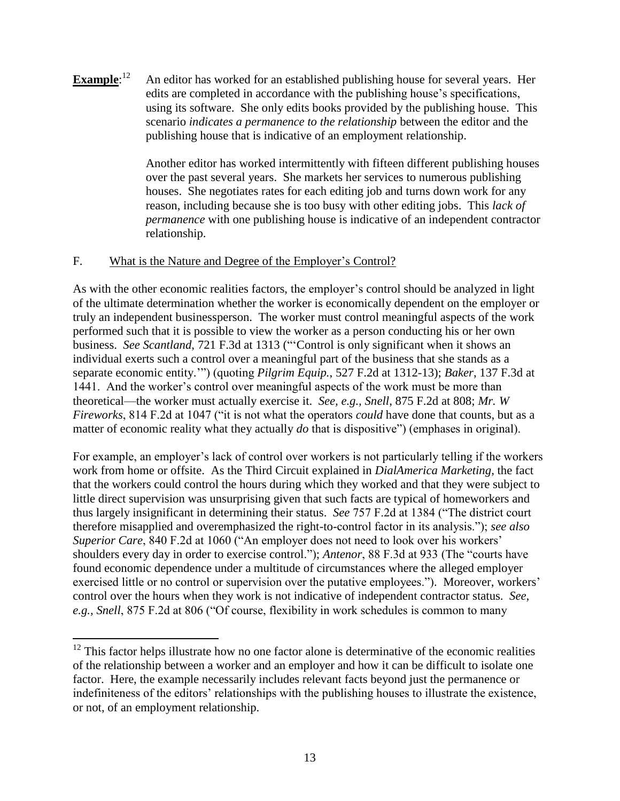**Example**: 12 An editor has worked for an established publishing house for several years. Her edits are completed in accordance with the publishing house's specifications, using its software. She only edits books provided by the publishing house. This scenario *indicates a permanence to the relationship* between the editor and the publishing house that is indicative of an employment relationship.

> Another editor has worked intermittently with fifteen different publishing houses over the past several years. She markets her services to numerous publishing houses. She negotiates rates for each editing job and turns down work for any reason, including because she is too busy with other editing jobs. This *lack of permanence* with one publishing house is indicative of an independent contractor relationship.

# F. What is the Nature and Degree of the Employer's Control?

 $\overline{a}$ 

As with the other economic realities factors, the employer's control should be analyzed in light of the ultimate determination whether the worker is economically dependent on the employer or truly an independent businessperson. The worker must control meaningful aspects of the work performed such that it is possible to view the worker as a person conducting his or her own business. *See Scantland*, 721 F.3d at 1313 ("'Control is only significant when it shows an individual exerts such a control over a meaningful part of the business that she stands as a separate economic entity.'") (quoting *Pilgrim Equip.*, 527 F.2d at 1312-13); *Baker*, 137 F.3d at 1441. And the worker's control over meaningful aspects of the work must be more than theoretical—the worker must actually exercise it. *See, e.g., Snell*, 875 F.2d at 808; *Mr. W Fireworks*, 814 F.2d at 1047 ("it is not what the operators *could* have done that counts, but as a matter of economic reality what they actually *do* that is dispositive") (emphases in original).

For example, an employer's lack of control over workers is not particularly telling if the workers work from home or offsite. As the Third Circuit explained in *DialAmerica Marketing*, the fact that the workers could control the hours during which they worked and that they were subject to little direct supervision was unsurprising given that such facts are typical of homeworkers and thus largely insignificant in determining their status. *See* 757 F.2d at 1384 ("The district court therefore misapplied and overemphasized the right-to-control factor in its analysis."); *see also Superior Care*, 840 F.2d at 1060 ("An employer does not need to look over his workers' shoulders every day in order to exercise control."); *Antenor*, 88 F.3d at 933 (The "courts have found economic dependence under a multitude of circumstances where the alleged employer exercised little or no control or supervision over the putative employees."). Moreover, workers' control over the hours when they work is not indicative of independent contractor status. *See, e.g., Snell*, 875 F.2d at 806 ("Of course, flexibility in work schedules is common to many

 $12$  This factor helps illustrate how no one factor alone is determinative of the economic realities of the relationship between a worker and an employer and how it can be difficult to isolate one factor. Here, the example necessarily includes relevant facts beyond just the permanence or indefiniteness of the editors' relationships with the publishing houses to illustrate the existence, or not, of an employment relationship.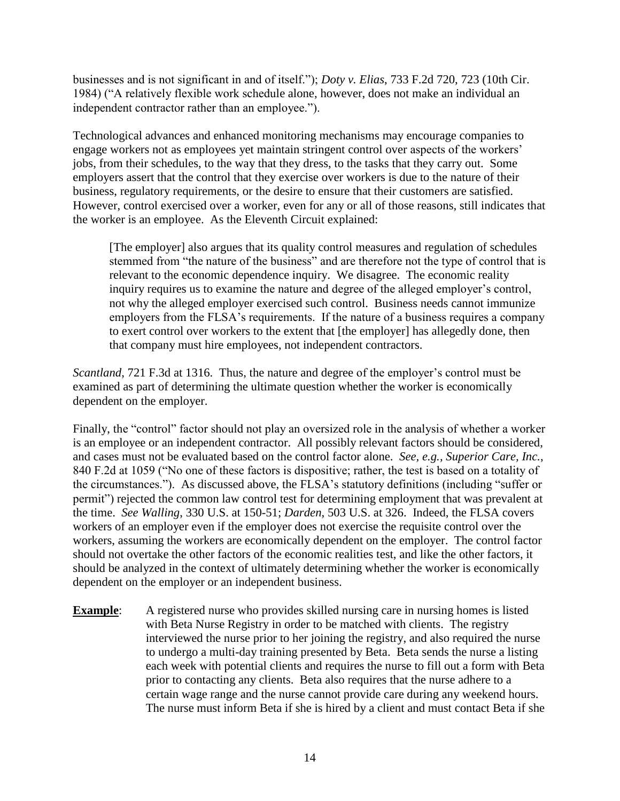businesses and is not significant in and of itself."); *Doty v. Elias*, 733 F.2d 720, 723 (10th Cir. 1984) ("A relatively flexible work schedule alone, however, does not make an individual an independent contractor rather than an employee.").

Technological advances and enhanced monitoring mechanisms may encourage companies to engage workers not as employees yet maintain stringent control over aspects of the workers' jobs, from their schedules, to the way that they dress, to the tasks that they carry out. Some employers assert that the control that they exercise over workers is due to the nature of their business, regulatory requirements, or the desire to ensure that their customers are satisfied. However, control exercised over a worker, even for any or all of those reasons, still indicates that the worker is an employee. As the Eleventh Circuit explained:

[The employer] also argues that its quality control measures and regulation of schedules stemmed from "the nature of the business" and are therefore not the type of control that is relevant to the economic dependence inquiry. We disagree. The economic reality inquiry requires us to examine the nature and degree of the alleged employer's control, not why the alleged employer exercised such control. Business needs cannot immunize employers from the FLSA's requirements. If the nature of a business requires a company to exert control over workers to the extent that [the employer] has allegedly done, then that company must hire employees, not independent contractors.

*Scantland*, 721 F.3d at 1316. Thus, the nature and degree of the employer's control must be examined as part of determining the ultimate question whether the worker is economically dependent on the employer.

Finally, the "control" factor should not play an oversized role in the analysis of whether a worker is an employee or an independent contractor. All possibly relevant factors should be considered, and cases must not be evaluated based on the control factor alone. *See, e.g., Superior Care, Inc.*, 840 F.2d at 1059 ("No one of these factors is dispositive; rather, the test is based on a totality of the circumstances."). As discussed above, the FLSA's statutory definitions (including "suffer or permit") rejected the common law control test for determining employment that was prevalent at the time. *See Walling*, 330 U.S. at 150-51; *Darden*, 503 U.S. at 326. Indeed, the FLSA covers workers of an employer even if the employer does not exercise the requisite control over the workers, assuming the workers are economically dependent on the employer. The control factor should not overtake the other factors of the economic realities test, and like the other factors, it should be analyzed in the context of ultimately determining whether the worker is economically dependent on the employer or an independent business.

**Example**: A registered nurse who provides skilled nursing care in nursing homes is listed with Beta Nurse Registry in order to be matched with clients. The registry interviewed the nurse prior to her joining the registry, and also required the nurse to undergo a multi-day training presented by Beta. Beta sends the nurse a listing each week with potential clients and requires the nurse to fill out a form with Beta prior to contacting any clients. Beta also requires that the nurse adhere to a certain wage range and the nurse cannot provide care during any weekend hours. The nurse must inform Beta if she is hired by a client and must contact Beta if she